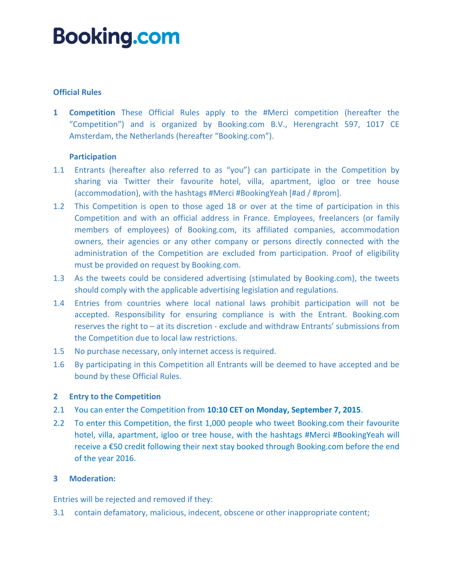### **Official Rules**

**1 Competition** These Official Rules apply to the #Merci competition (hereafter the "Competition") and is organized by Booking.com B.V., Herengracht 597, 1017 CE Amsterdam, the Netherlands (hereafter "Booking.com").

#### **Participation**

- 1.1 Entrants (hereafter also referred to as "you") can participate in the Competition by sharing via Twitter their favourite hotel, villa, apartment, igloo or tree house (accommodation), with the hashtags #Merci #BookingYeah [#ad / #prom].
- 1.2 This Competition is open to those aged 18 or over at the time of participation in this Competition and with an official address in France. Employees, freelancers (or family members of employees) of Booking.com, its affiliated companies, accommodation owners, their agencies or any other company or persons directly connected with the administration of the Competition are excluded from participation. Proof of eligibility must be provided on request by Booking.com.
- 1.3 As the tweets could be considered advertising (stimulated by Booking.com), the tweets should comply with the applicable advertising legislation and regulations.
- 1.4 Entries from countries where local national laws prohibit participation will not be accepted. Responsibility for ensuring compliance is with the Entrant. Booking.com reserves the right to  $-$  at its discretion - exclude and withdraw Entrants' submissions from the Competition due to local law restrictions.
- 1.5 No purchase necessary, only internet access is required.
- 1.6 By participating in this Competition all Entrants will be deemed to have accepted and be bound by these Official Rules.

#### **2 Entry to the Competition**

- 2.1 You can enter the Competition from 10:10 CET on Monday, September 7, 2015.
- 2.2 To enter this Competition, the first 1,000 people who tweet Booking.com their favourite hotel, villa, apartment, igloo or tree house, with the hashtags #Merci #BookingYeah will receive a  $$50$  credit following their next stay booked through Booking.com before the end of the year 2016.

#### **3 Moderation:**

Entries will be rejected and removed if they:

3.1 contain defamatory, malicious, indecent, obscene or other inappropriate content;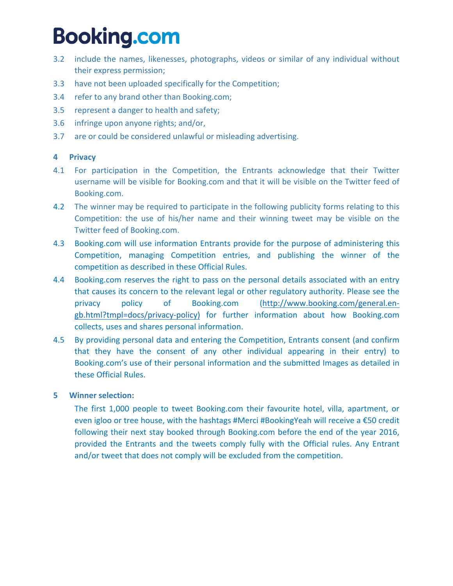- 3.2 include the names, likenesses, photographs, videos or similar of any individual without their express permission;
- 3.3 have not been uploaded specifically for the Competition;
- 3.4 refer to any brand other than Booking.com;
- 3.5 represent a danger to health and safety;
- 3.6 infringe upon anyone rights; and/or,
- 3.7 are or could be considered unlawful or misleading advertising.

## **4 Privacy**

- 4.1 For participation in the Competition, the Entrants acknowledge that their Twitter username will be visible for Booking.com and that it will be visible on the Twitter feed of Booking.com.
- 4.2 The winner may be required to participate in the following publicity forms relating to this Competition: the use of his/her name and their winning tweet may be visible on the Twitter feed of Booking.com.
- 4.3 Booking.com will use information Entrants provide for the purpose of administering this Competition, managing Competition entries, and publishing the winner of the competition as described in these Official Rules.
- 4.4 Booking.com reserves the right to pass on the personal details associated with an entry that causes its concern to the relevant legal or other regulatory authority. Please see the privacy policy of Booking.com (http://www.booking.com/general.engb.html?tmpl=docs/privacy-policy) for further information about how Booking.com collects, uses and shares personal information.
- 4.5 By providing personal data and entering the Competition, Entrants consent (and confirm that they have the consent of any other individual appearing in their entry) to Booking.com's use of their personal information and the submitted Images as detailed in these Official Rules.

### **5 Winner selection:**

The first 1,000 people to tweet Booking.com their favourite hotel, villa, apartment, or even igloo or tree house, with the hashtags #Merci #BookingYeah will receive a  $\epsilon$ 50 credit following their next stay booked through Booking.com before the end of the year 2016, provided the Entrants and the tweets comply fully with the Official rules. Any Entrant and/or tweet that does not comply will be excluded from the competition.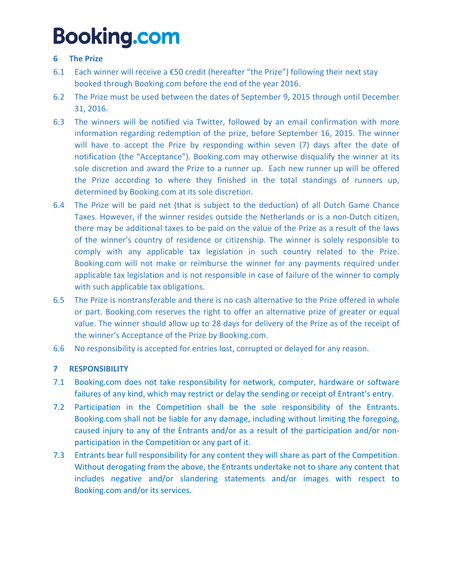### **6 The Prize**

- 6.1 Each winner will receive a  $\epsilon$ 50 credit (hereafter "the Prize") following their next stay booked through Booking.com before the end of the year 2016.
- 6.2 The Prize must be used between the dates of September 9, 2015 through until December 31, 2016.
- 6.3 The winners will be notified via Twitter, followed by an email confirmation with more information regarding redemption of the prize, before September 16, 2015. The winner will have to accept the Prize by responding within seven (7) days after the date of notification (the "Acceptance"). Booking.com may otherwise disqualify the winner at its sole discretion and award the Prize to a runner up. Each new runner up will be offered the Prize according to where they finished in the total standings of runners up, determined by Booking.com at its sole discretion.
- 6.4 The Prize will be paid net (that is subject to the deduction) of all Dutch Game Chance Taxes. However, if the winner resides outside the Netherlands or is a non-Dutch citizen, there may be additional taxes to be paid on the value of the Prize as a result of the laws of the winner's country of residence or citizenship. The winner is solely responsible to comply with any applicable tax legislation in such country related to the Prize. Booking.com will not make or reimburse the winner for any payments required under applicable tax legislation and is not responsible in case of failure of the winner to comply with such applicable tax obligations.
- 6.5 The Prize is nontransferable and there is no cash alternative to the Prize offered in whole or part. Booking.com reserves the right to offer an alternative prize of greater or equal value. The winner should allow up to 28 days for delivery of the Prize as of the receipt of the winner's Acceptance of the Prize by Booking.com.
- 6.6 No responsibility is accepted for entries lost, corrupted or delayed for any reason.

### **7 RESPONSIBILITY**

- 7.1 Booking.com does not take responsibility for network, computer, hardware or software failures of any kind, which may restrict or delay the sending or receipt of Entrant's entry.
- 7.2 Participation in the Competition shall be the sole responsibility of the Entrants. Booking.com shall not be liable for any damage, including without limiting the foregoing, caused injury to any of the Entrants and/or as a result of the participation and/or nonparticipation in the Competition or any part of it.
- 7.3 Entrants bear full responsibility for any content they will share as part of the Competition. Without derogating from the above, the Entrants undertake not to share any content that includes negative and/or slandering statements and/or images with respect to Booking.com and/or its services.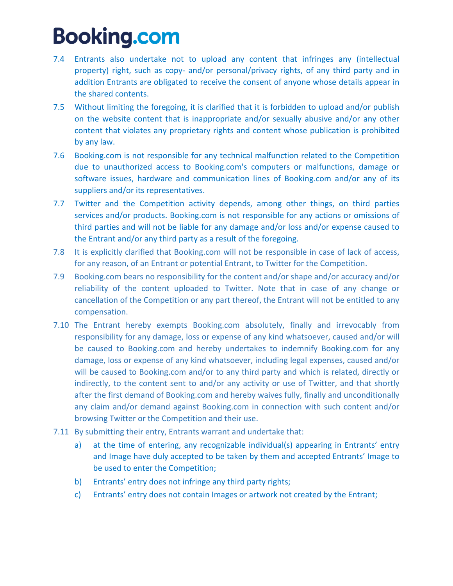- 7.4 Entrants also undertake not to upload any content that infringes any (intellectual property) right, such as copy- and/or personal/privacy rights, of any third party and in addition Entrants are obligated to receive the consent of anyone whose details appear in the shared contents.
- 7.5 Without limiting the foregoing, it is clarified that it is forbidden to upload and/or publish on the website content that is inappropriate and/or sexually abusive and/or any other content that violates any proprietary rights and content whose publication is prohibited by any law.
- 7.6 Booking.com is not responsible for any technical malfunction related to the Competition due to unauthorized access to Booking.com's computers or malfunctions, damage or software issues, hardware and communication lines of Booking.com and/or any of its suppliers and/or its representatives.
- 7.7 Twitter and the Competition activity depends, among other things, on third parties services and/or products. Booking.com is not responsible for any actions or omissions of third parties and will not be liable for any damage and/or loss and/or expense caused to the Entrant and/or any third party as a result of the foregoing.
- 7.8 It is explicitly clarified that Booking.com will not be responsible in case of lack of access, for any reason, of an Entrant or potential Entrant, to Twitter for the Competition.
- 7.9 Booking.com bears no responsibility for the content and/or shape and/or accuracy and/or reliability of the content uploaded to Twitter. Note that in case of any change or cancellation of the Competition or any part thereof, the Entrant will not be entitled to any compensation.
- 7.10 The Entrant hereby exempts Booking.com absolutely, finally and irrevocably from responsibility for any damage, loss or expense of any kind whatsoever, caused and/or will be caused to Booking.com and hereby undertakes to indemnify Booking.com for any damage, loss or expense of any kind whatsoever, including legal expenses, caused and/or will be caused to Booking.com and/or to any third party and which is related, directly or indirectly, to the content sent to and/or any activity or use of Twitter, and that shortly after the first demand of Booking.com and hereby waives fully, finally and unconditionally any claim and/or demand against Booking.com in connection with such content and/or browsing Twitter or the Competition and their use.
- 7.11 By submitting their entry, Entrants warrant and undertake that:
	- a) at the time of entering, any recognizable individual(s) appearing in Entrants' entry and Image have duly accepted to be taken by them and accepted Entrants' Image to be used to enter the Competition;
	- b) Entrants' entry does not infringe any third party rights;
	- c) Entrants' entry does not contain Images or artwork not created by the Entrant;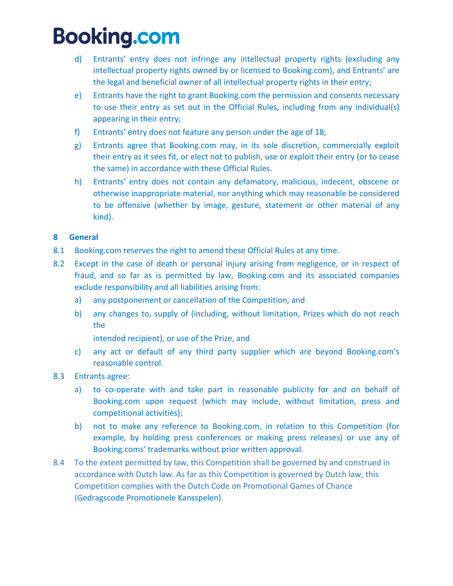- d) Entrants' entry does not infringe any intellectual property rights (excluding any intellectual property rights owned by or licensed to Booking.com), and Entrants' are the legal and beneficial owner of all intellectual property rights in their entry;
- e) Entrants have the right to grant Booking.com the permission and consents necessary to use their entry as set out in the Official Rules, including from any individual(s) appearing in their entry;
- f) Entrants' entry does not feature any person under the age of 18;
- g) Entrants agree that Booking.com may, in its sole discretion, commercially exploit their entry as it sees fit, or elect not to publish, use or exploit their entry (or to cease the same) in accordance with these Official Rules.
- h) Entrants' entry does not contain any defamatory, malicious, indecent, obscene or otherwise inappropriate material, nor anything which may reasonable be considered to be offensive (whether by image, gesture, statement or other material of any kind).

### **8 General**

- 8.1 Booking.com reserves the right to amend these Official Rules at any time.
- 8.2 Except in the case of death or personal injury arising from negligence, or in respect of fraud, and so far as is permitted by law, Booking.com and its associated companies exclude responsibility and all liabilities arising from:
	- a) any postponement or cancellation of the Competition, and
	- b) any changes to, supply of (including, without limitation, Prizes which do not reach the

intended recipient), or use of the Prize, and

c) any act or default of any third party supplier which are beyond Booking.com's reasonable control.

### 8.3 Entrants agree:

- a) to co-operate with and take part in reasonable publicity for and on behalf of Booking.com upon request (which may include, without limitation, press and competitional activities);
- b) not to make any reference to Booking.com, in relation to this Competition (for example, by holding press conferences or making press releases) or use any of Booking.coms' trademarks without prior written approval.
- 8.4 To the extent permitted by law, this Competition shall be governed by and construed in accordance with Dutch law. As far as this Competition is governed by Dutch law, this Competition complies with the Dutch Code on Promotional Games of Chance (Gedragscode Promotionele Kansspelen).